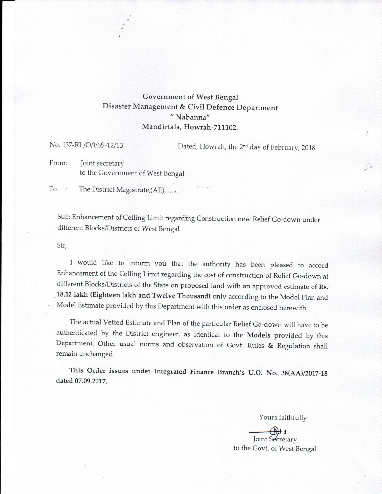## Government of West Bengal Disaster Management & Civil Defence Department " Nabanna" Mandirtala, Howrah-711102.

No. 137-RL/O/I/6S-12/13 Dated, Howrah, the 2<sup>nd</sup> day of February, 2018

!

From: Joint secretary to the Government of West Bengal

To : The District Magistrate, (All).......

Sub: Enhancement of Ceiling Limit regarding Construction new Relief Go-down under different Blocks/Districts of West Bengal.

Sir,

I would like to inform you that the authority has been pleased to accord Enhancement of the Ceiling Limit regarding the cost of construction of Relief Go-down at different Blocks/Districts of the State on proposed land with an approved estimate of Rs. ,;18.12lakh (Eighteen lakh and Twelve Thousand) only according to the Model Plan and Model Estimate provided by this Department with this order as enclosed herewith.

The actual Vetted Estimate and Plan of the particular Relief Go-down will have to be authenticated by the District engineer, as Identical to the Models provided by this Department. Other usual norms and observation of Govt. Rules & Regulation shall remain unchanged.

This Order issues under Integrated Finance Branch's U.O. No. *38(AA)/2017-18* dated 07.09.2017.

Yours faithfully

Joint Secretary to the Govt. of West Bengal